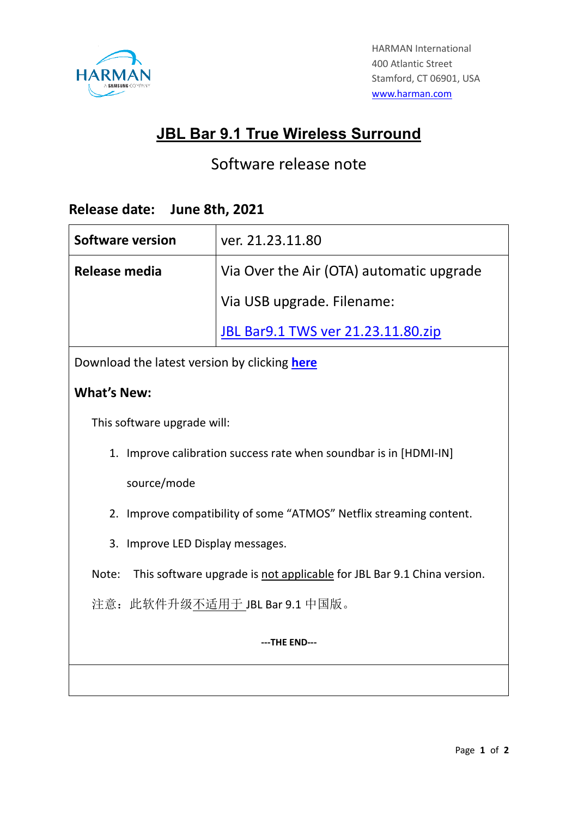

## **JBL Bar 9.1 True Wireless Surround**

## Software release note

## **Release date: June 8th, 2021**

| <b>Software version</b>                                                         | ver. 21.23.11.80                          |
|---------------------------------------------------------------------------------|-------------------------------------------|
| Release media                                                                   | Via Over the Air (OTA) automatic upgrade  |
|                                                                                 | Via USB upgrade. Filename:                |
|                                                                                 | <b>JBL Bar9.1 TWS ver 21.23.11.80.zip</b> |
| Download the latest version by clicking here                                    |                                           |
| <b>What's New:</b>                                                              |                                           |
| This software upgrade will:                                                     |                                           |
| 1. Improve calibration success rate when soundbar is in [HDMI-IN]               |                                           |
| source/mode                                                                     |                                           |
| 2. Improve compatibility of some "ATMOS" Netflix streaming content.             |                                           |
| 3. Improve LED Display messages.                                                |                                           |
| Note:<br>This software upgrade is not applicable for JBL Bar 9.1 China version. |                                           |
| 注意: 此软件升级不适用于 JBL Bar 9.1 中国版。                                                  |                                           |
| ---THE END---                                                                   |                                           |
|                                                                                 |                                           |